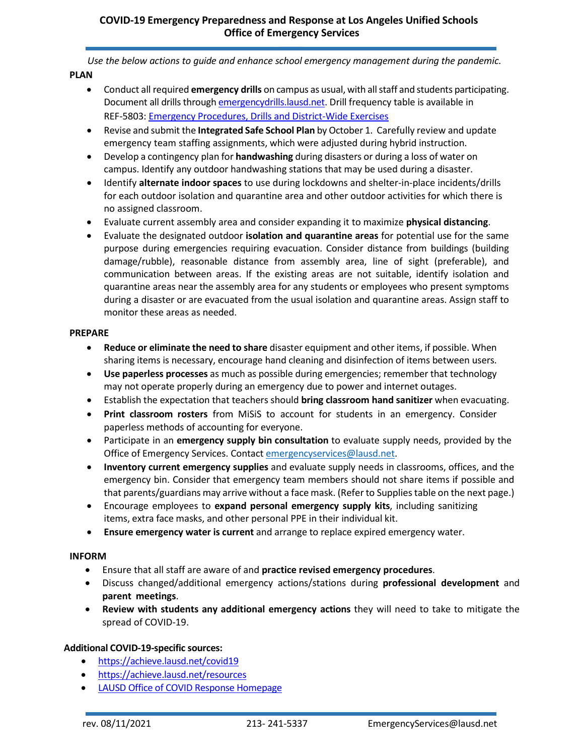*Use the below actions to guide and enhance school emergency management during the pandemic.* **PLAN**

- Conduct all required **emergency drills** on campus as usual, with all staff and students participating. Document all drills through emergencydrills.lausd.net. Drill frequency table is available in REF-5803: [Emergency Procedures, Drills and District-Wide Exercises](https://achieve.lausd.net/Page/2649)
- Revise and submit the **Integrated Safe School Plan** by October 1. Carefully review and update emergency team staffing assignments, which were adjusted during hybrid instruction.
- Develop a contingency plan for **handwashing** during disasters or during a loss of water on campus. Identify any outdoor handwashing stations that may be used during a disaster.
- Identify **alternate indoor spaces** to use during lockdowns and shelter-in-place incidents/drills for each outdoor isolation and quarantine area and other outdoor activities for which there is no assigned classroom.
- Evaluate current assembly area and consider expanding it to maximize **physical distancing**.
- Evaluate the designated outdoor **isolation and quarantine areas** for potential use for the same purpose during emergencies requiring evacuation. Consider distance from buildings (building damage/rubble), reasonable distance from assembly area, line of sight (preferable), and communication between areas. If the existing areas are not suitable, identify isolation and quarantine areas near the assembly area for any students or employees who present symptoms during a disaster or are evacuated from the usual isolation and quarantine areas. Assign staff to monitor these areas as needed.

## **PREPARE**

- **Reduce or eliminate the need to share** disaster equipment and other items, if possible. When sharing items is necessary, encourage hand cleaning and disinfection of items between users.
- **Use paperless processes** as much as possible during emergencies; remember that technology may not operate properly during an emergency due to power and internet outages.
- Establish the expectation that teachers should **bring classroom hand sanitizer** when evacuating.
- **Print classroom rosters** from MiSiS to account for students in an emergency. Consider paperless methods of accounting for everyone.
- Participate in an **emergency supply bin consultation** to evaluate supply needs, provided by the Office of Emergency Services. Contact [emergencyservices@lausd.net.](mailto:emergencyservices@lausd.net)
- **Inventory current emergency supplies** and evaluate supply needs in classrooms, offices, and the emergency bin. Consider that emergency team members should not share items if possible and that parents/guardians may arrive without a face mask. (Refer to Supplies table on the next page.)
- Encourage employees to **expand personal emergency supply kits**, including sanitizing items, extra face masks, and other personal PPE in their individual kit.
- **Ensure emergency water is current** and arrange to replace expired emergency water.

## **INFORM**

- Ensure that all staff are aware of and **practice revised emergency procedures**.
- Discuss changed/additional emergency actions/stations during **professional development** and **parent meetings**.
- **Review with students any additional emergency actions** they will need to take to mitigate the spread of COVID-19.

## **Additional COVID-19-specific sources:**

- <https://achieve.lausd.net/covid19>
- <https://achieve.lausd.net/resources>
- [LAUSD Office of COVID Response Homepage](https://achieve.lausd.net/Page/17446)